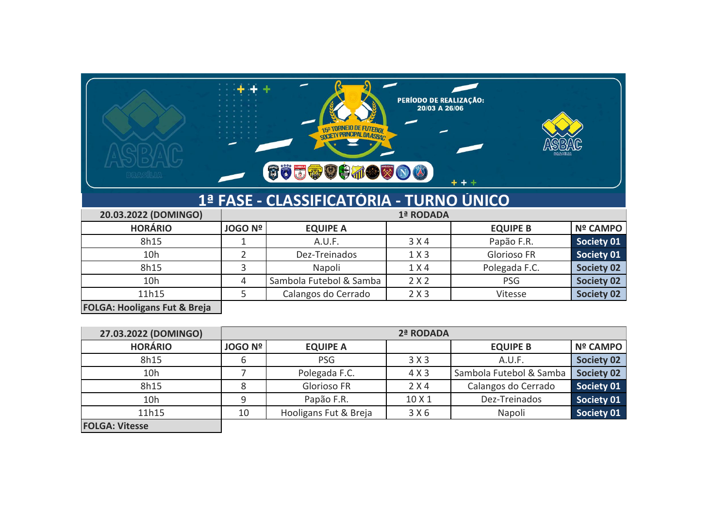

## **1ª FASE - CLASSIFICATÓRIA - TURNO ÚNICO**

| 20.03.2022 (DOMINGO)                                                                                                                                                                                                                                                                                                                                                             |                |                         | 1ª RODADA |                 |                   |
|----------------------------------------------------------------------------------------------------------------------------------------------------------------------------------------------------------------------------------------------------------------------------------------------------------------------------------------------------------------------------------|----------------|-------------------------|-----------|-----------------|-------------------|
| <b>HORÁRIO</b>                                                                                                                                                                                                                                                                                                                                                                   | <b>JOGO Nº</b> | <b>EQUIPE A</b>         |           | <b>EQUIPE B</b> | <b>Nº CAMPO</b>   |
| 8h15                                                                                                                                                                                                                                                                                                                                                                             |                | A.U.F.                  | 3 X 4     | Papão F.R.      | Society 01        |
| 10h                                                                                                                                                                                                                                                                                                                                                                              |                | Dez-Treinados           | 1 X 3     | Glorioso FR     | Society 01        |
| 8h15                                                                                                                                                                                                                                                                                                                                                                             |                | Napoli                  | 1 X 4     | Polegada F.C.   | <b>Society 02</b> |
| 10h                                                                                                                                                                                                                                                                                                                                                                              | 4              | Sambola Futebol & Samba | 2 X 2     | <b>PSG</b>      | <b>Society 02</b> |
| 11h15                                                                                                                                                                                                                                                                                                                                                                            |                | Calangos do Cerrado     | 2 X 3     | Vitesse         | Society 02        |
| $F^{\alpha}$ , $\alpha$ , $F^{\alpha}$ , $F^{\alpha}$ , $F^{\alpha}$ , $F^{\alpha}$ , $F^{\alpha}$ , $F^{\alpha}$ , $F^{\alpha}$ , $F^{\alpha}$ , $F^{\alpha}$ , $F^{\alpha}$ , $F^{\alpha}$ , $F^{\alpha}$ , $F^{\alpha}$ , $F^{\alpha}$ , $F^{\alpha}$ , $F^{\alpha}$ , $F^{\alpha}$ , $F^{\alpha}$ , $F^{\alpha}$ , $F^{\alpha}$ , $F^{\alpha}$ , $F^{\alpha}$ , $F^{\alpha}$ |                |                         |           |                 |                   |

**FOLGA: Hooligans Fut & Breja**

| 27.03.2022 (DOMINGO)  |                | 2ª RODADA             |        |                         |                   |  |
|-----------------------|----------------|-----------------------|--------|-------------------------|-------------------|--|
| <b>HORÁRIO</b>        | <b>JOGO Nº</b> | <b>EQUIPE A</b>       |        | <b>EQUIPE B</b>         | <b>Nº CAMPO</b>   |  |
| 8h15                  | ь              | <b>PSG</b>            | 3X3    | A.U.F.                  | <b>Society 02</b> |  |
| 10h                   |                | Polegada F.C.         | 4 X 3  | Sambola Futebol & Samba | <b>Society 02</b> |  |
| 8h15                  |                | Glorioso FR           | 2 X 4  | Calangos do Cerrado     | Society 01        |  |
| 10h                   | 9              | Papão F.R.            | 10 X 1 | Dez-Treinados           | Society 01        |  |
| 11h15                 | 10             | Hooligans Fut & Breja | 3 X 6  | Napoli                  | Society 01        |  |
| <b>FOLGA: Vitesse</b> |                |                       |        |                         |                   |  |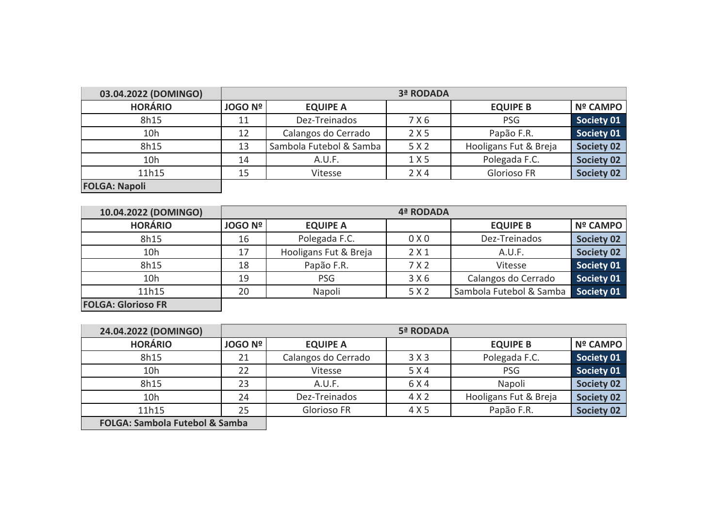| 03.04.2022 (DOMINGO) |                | 3ª RODADA               |       |                       |                   |  |  |
|----------------------|----------------|-------------------------|-------|-----------------------|-------------------|--|--|
| <b>HORÁRIO</b>       | <b>JOGO Nº</b> | <b>EQUIPE A</b>         |       | <b>EQUIPE B</b>       | Nº CAMPO          |  |  |
| 8h15                 | 11             | Dez-Treinados           | 7 X 6 | <b>PSG</b>            | Society 01        |  |  |
| 10h                  | 12             | Calangos do Cerrado     | 2 X 5 | Papão F.R.            | Society 01        |  |  |
| 8h15                 | 13             | Sambola Futebol & Samba | 5 X 2 | Hooligans Fut & Breja | <b>Society 02</b> |  |  |
| 10h                  | 14             | A.U.F.                  | 1 X 5 | Polegada F.C.         | <b>Society 02</b> |  |  |
| 11h15                | 15             | Vitesse                 | 2 X 4 | Glorioso FR           | <b>Society 02</b> |  |  |
| <b>FOLGA: Napoli</b> |                |                         |       |                       |                   |  |  |

| 10.04.2022 (DOMINGO)      |                |                       | 4ª RODADA |                         |                   |
|---------------------------|----------------|-----------------------|-----------|-------------------------|-------------------|
| <b>HORÁRIO</b>            | <b>JOGO Nº</b> | <b>EQUIPE A</b>       |           | <b>EQUIPE B</b>         | <b>Nº CAMPO</b>   |
| 8h15                      | 16             | Polegada F.C.         | 0 X 0     | Dez-Treinados           | <b>Society 02</b> |
| 10h                       | 17             | Hooligans Fut & Breja | 2X1       | A.U.F.                  | <b>Society 02</b> |
| 8h15                      | 18             | Papão F.R.            | 7X2       | Vitesse                 | Society 01        |
| 10h                       | 19             | <b>PSG</b>            | 3 X 6     | Calangos do Cerrado     | Society 01        |
| 11h15                     | 20             | Napoli                | 5 X 2     | Sambola Futebol & Samba | <b>Society 01</b> |
| <b>FOLGA: Glorioso FR</b> |                |                       |           |                         |                   |

| 24.04.2022 (DOMINGO)                      |                |                     | 5ª RODADA |                       |                   |
|-------------------------------------------|----------------|---------------------|-----------|-----------------------|-------------------|
| <b>HORÁRIO</b>                            | <b>JOGO Nº</b> | <b>EQUIPE A</b>     |           | <b>EQUIPE B</b>       | <b>Nº CAMPO</b>   |
| 8h15                                      | 21             | Calangos do Cerrado | 3X3       | Polegada F.C.         | Society 01        |
| 10h                                       | 22             | Vitesse             | 5 X 4     | <b>PSG</b>            | Society 01        |
| 8h15                                      | 23             | A.U.F.              | 6 X 4     | Napoli                | <b>Society 02</b> |
| 10h                                       | 24             | Dez-Treinados       | 4 X 2     | Hooligans Fut & Breja | <b>Society 02</b> |
| 11h15                                     | 25             | Glorioso FR         | 4 X 5     | Papão F.R.            | <b>Society 02</b> |
| <b>FOLGA: Sambola Futebol &amp; Samba</b> |                |                     |           |                       |                   |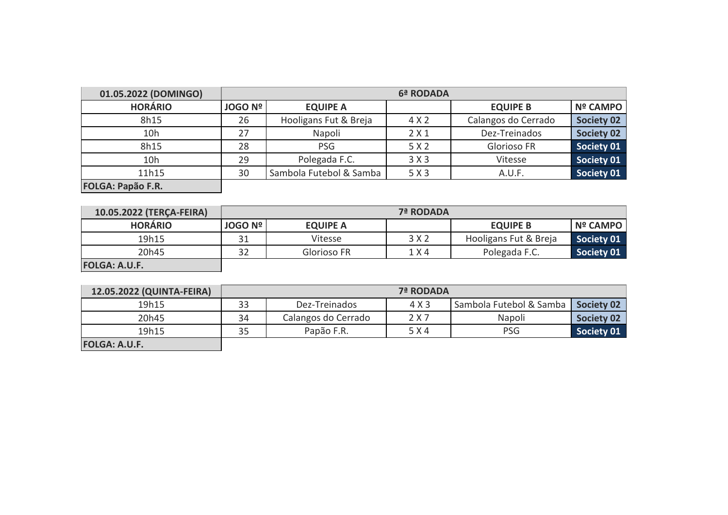| 01.05.2022 (DOMINGO)     |                | 6ª RODADA               |       |                     |                   |  |  |  |
|--------------------------|----------------|-------------------------|-------|---------------------|-------------------|--|--|--|
| <b>HORÁRIO</b>           | <b>JOGO Nº</b> | <b>EQUIPE A</b>         |       | <b>EQUIPE B</b>     | <b>Nº CAMPO</b>   |  |  |  |
| 8h15                     | 26             | Hooligans Fut & Breja   | 4 X 2 | Calangos do Cerrado | <b>Society 02</b> |  |  |  |
| 10h                      | 27             | Napoli                  | 2 X 1 | Dez-Treinados       | <b>Society 02</b> |  |  |  |
| 8h15                     | 28             | <b>PSG</b>              | 5 X 2 | Glorioso FR         | Society 01        |  |  |  |
| 10h                      | 29             | Polegada F.C.           | 3X3   | Vitesse             | Society 01        |  |  |  |
| 11h15                    | 30             | Sambola Futebol & Samba | 5 X 3 | A.U.F.              | Society 01        |  |  |  |
| <b>FOLGA: Papão F.R.</b> |                |                         |       |                     |                   |  |  |  |

| 10.05.2022 (TERÇA-FEIRA) |                | 7ª RODADA       |       |                       |                 |  |  |
|--------------------------|----------------|-----------------|-------|-----------------------|-----------------|--|--|
| <b>HORÁRIO</b>           | <b>JOGO Nº</b> | <b>EQUIPE A</b> |       | <b>EQUIPE B</b>       | <b>Nº CAMPO</b> |  |  |
| 19h15                    | 31             | Vitesse         | 3 X 2 | Hooligans Fut & Breja | Society 01      |  |  |
| 20h45                    | 32             | Glorioso FR     | 1 X 4 | Polegada F.C.         | Society 01      |  |  |
| <b>FOLGA: A.U.F.</b>     |                |                 |       |                       |                 |  |  |

| 12.05.2022 (QUINTA-FEIRA) |    | 7ª RODADA           |       |                         |                   |  |
|---------------------------|----|---------------------|-------|-------------------------|-------------------|--|
| 19h15                     | 33 | Dez-Treinados       | 4 X 3 | Sambola Futebol & Samba | <b>Society 02</b> |  |
| 20h45                     | 34 | Calangos do Cerrado | 2 X 7 | Napoli                  | Society 02        |  |
| 19h15                     | 35 | Papão F.R.          | 5 X 4 | <b>PSG</b>              | Society 01        |  |
| <b>FOLGA: A.U.F.</b>      |    |                     |       |                         |                   |  |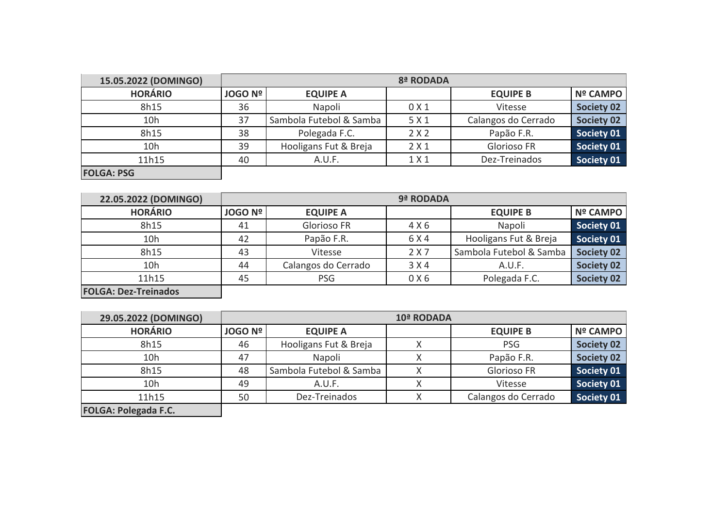| 15.05.2022 (DOMINGO) |                | 8ª RODADA               |                  |                     |                   |  |  |
|----------------------|----------------|-------------------------|------------------|---------------------|-------------------|--|--|
| <b>HORÁRIO</b>       | <b>JOGO Nº</b> | <b>EQUIPE A</b>         |                  | <b>EQUIPE B</b>     | <b>Nº CAMPO</b>   |  |  |
| 8h15                 | 36             | Napoli                  | 0 <sub>X</sub> 1 | Vitesse             | <b>Society 02</b> |  |  |
| 10h                  | 37             | Sambola Futebol & Samba | 5 X 1            | Calangos do Cerrado | <b>Society 02</b> |  |  |
| 8h15                 | 38             | Polegada F.C.           | 2X2              | Papão F.R.          | Society 01        |  |  |
| 10h                  | 39             | Hooligans Fut & Breja   | 2X1              | Glorioso FR         | Society 01        |  |  |
| 11h15                | 40             | A.U.F.                  | 1 X 1            | Dez-Treinados       | Society 01        |  |  |
| <b>FOLGA: PSG</b>    |                |                         |                  |                     |                   |  |  |

| 22.05.2022 (DOMINGO)        |                |                     | 9ª RODADA |                         |                   |
|-----------------------------|----------------|---------------------|-----------|-------------------------|-------------------|
| <b>HORÁRIO</b>              | <b>JOGO Nº</b> | <b>EQUIPE A</b>     |           | <b>EQUIPE B</b>         | Nº CAMPO          |
| 8h15                        | 41             | Glorioso FR         | 4 X 6     | Napoli                  | Society 01        |
| 10h                         | 42             | Papão F.R.          | 6 X 4     | Hooligans Fut & Breja   | Society 01        |
| 8h15                        | 43             | Vitesse             | 2 X 7     | Sambola Futebol & Samba | <b>Society 02</b> |
| 10h                         | 44             | Calangos do Cerrado | 3 X 4     | A.U.F.                  | <b>Society 02</b> |
| 11h15                       | 45             | <b>PSG</b>          | 0 X6      | Polegada F.C.           | <b>Society 02</b> |
| <b>FOLGA: Dez-Treinados</b> |                |                     |           |                         |                   |

**29.05.2022 (DOMINGO) HORÁRIO JOGO Nº EQUIPE A EQUIPE B Nº CAMPO** er 10 and 15 and 16 Hooligans Fut & Breja and 10 and 10 and 10 and 10 and 10 and 10 and 10 and 10 and 10 and 10 and 10 and 10 and 10 and 10 and 10 and 10 and 10 and 10 and 10 and 10 and 10 and 10 and 10 and 10 and 10 and 1 10h 47 Napoli X Papão F.R. **Society 02** 8h15 48 Sambola Futebol & Samba X Glorioso FR Society 01<br>10h 49 A.U.F. X Vitesse Society 01 10h 49 A.U.F. X Vitesse **Society 01** 11h15 50 Dez-Treinados X Calangos do Cerrado **Society 01 FOLGA: Polegada F.C. 10ª RODADA**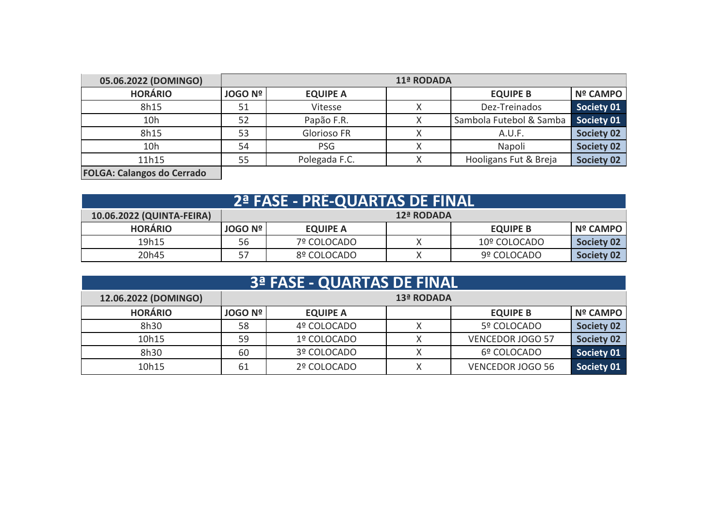| 05.06.2022 (DOMINGO)              |                | 11ª RODADA         |  |                         |                   |  |  |
|-----------------------------------|----------------|--------------------|--|-------------------------|-------------------|--|--|
| <b>HORÁRIO</b>                    | <b>JOGO Nº</b> | <b>EQUIPE A</b>    |  | <b>EQUIPE B</b>         | Nº CAMPO          |  |  |
| 8h15                              | 51             | Vitesse            |  | Dez-Treinados           | Society 01        |  |  |
| 10h                               | 52             | Papão F.R.         |  | Sambola Futebol & Samba | <b>Society 01</b> |  |  |
| 8h15                              | 53             | <b>Glorioso FR</b> |  | A.U.F.                  | <b>Society 02</b> |  |  |
| 10h                               | 54             | <b>PSG</b>         |  | Napoli                  | <b>Society 02</b> |  |  |
| 11h15                             | 55             | Polegada F.C.      |  | Hooligans Fut & Breja   | <b>Society 02</b> |  |  |
| <b>FOLGA: Calangos do Cerrado</b> |                |                    |  |                         |                   |  |  |

| <b>2ª FASE - PRE-QUARTAS DE FINAL</b> |                |                 |        |                 |            |  |  |  |  |
|---------------------------------------|----------------|-----------------|--------|-----------------|------------|--|--|--|--|
| 10.06.2022 (QUINTA-FEIRA)             | 12ª RODADA     |                 |        |                 |            |  |  |  |  |
| <b>HORÁRIO</b>                        | <b>JOGO Nº</b> | <b>EQUIPE A</b> |        | <b>EQUIPE B</b> | Nº CAMPO   |  |  |  |  |
| 19h15                                 | 56             | 7º COLOCADO     | Χ      | 10º COLOCADO    | Society 02 |  |  |  |  |
| 20h45                                 | 57             | 8º COLOCADO     | $\vee$ | 9º COLOCADO     | Society 02 |  |  |  |  |

| <b>3ª FASE - QUARTAS DE FINAL</b> |                |                 |   |                         |                   |  |  |
|-----------------------------------|----------------|-----------------|---|-------------------------|-------------------|--|--|
| 12.06.2022 (DOMINGO)              | 13ª RODADA     |                 |   |                         |                   |  |  |
| <b>HORÁRIO</b>                    | <b>JOGO Nº</b> | <b>EQUIPE A</b> |   | <b>EQUIPE B</b>         | <b>Nº CAMPO</b>   |  |  |
| 8h30                              | 58             | 4º COLOCADO     | Х | 5º COLOCADO             | <b>Society 02</b> |  |  |
| 10h15                             | 59             | 1º COLOCADO     |   | <b>VENCEDOR JOGO 57</b> | <b>Society 02</b> |  |  |
| 8h30                              | 60             | 3º COLOCADO     | Х | 6º COLOCADO             | Society 01        |  |  |
| 10h15                             | 61             | 2º COLOCADO     | Χ | <b>VENCEDOR JOGO 56</b> | Society 01        |  |  |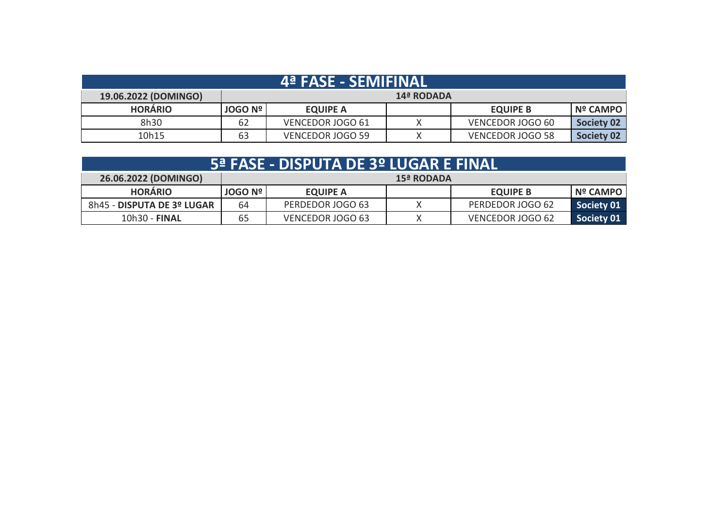| 4 <sup>ª</sup> FASE - SEMIFINAL |                |                  |            |                         |                   |  |
|---------------------------------|----------------|------------------|------------|-------------------------|-------------------|--|
| 19.06.2022 (DOMINGO)            |                |                  | 14ª RODADA |                         |                   |  |
| <b>HORÁRIO</b>                  | <b>JOGO Nº</b> | <b>EQUIPE A</b>  |            | <b>EQUIPE B</b>         | Nº CAMPO          |  |
| 8h30                            | 62             | VENCEDOR JOGO 61 |            | VENCEDOR JOGO 60        | Society 02        |  |
| 10h15                           | 63             | VENCEDOR JOGO 59 |            | <b>VENCEDOR JOGO 58</b> | <b>Society 02</b> |  |

| 5ª FASE - DISPUTA DE 3º LUGAR E FINAL. |
|----------------------------------------|
|                                        |

| 26.06.2022 (DOMINGO)       | <b>15ª RODADA</b> |                  |  |                  |            |  |
|----------------------------|-------------------|------------------|--|------------------|------------|--|
| <b>HORARIO</b>             | <b>JOGO Nº I</b>  | <b>EQUIPE A</b>  |  | <b>EQUIPE B</b>  | Nº CAMPO   |  |
| 8h45 - DISPUTA DE 3º LUGAR | 64                | PERDEDOR JOGO 63 |  | PERDEDOR JOGO 62 | Society 01 |  |
| 10h30 - FINAL              | 65                | VENCEDOR JOGO 63 |  | VENCEDOR JOGO 62 | Society 01 |  |